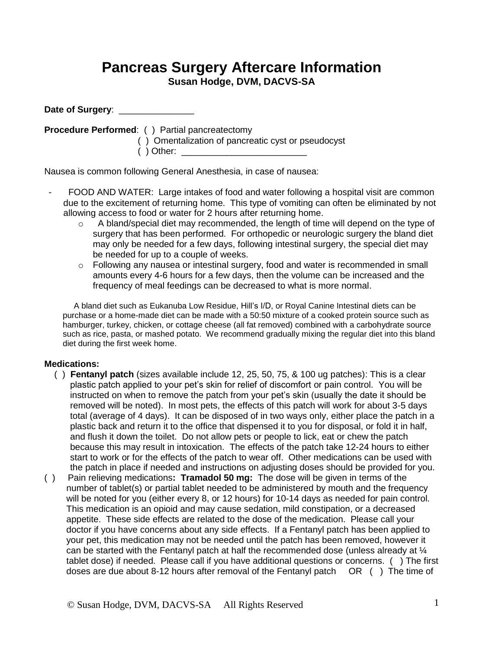## **Pancreas Surgery Aftercare Information**

**Susan Hodge, DVM, DACVS-SA**

**Date of Surgery:** 

**Procedure Performed**: ( ) Partial pancreatectomy

 ( ) Omentalization of pancreatic cyst or pseudocyst ( ) Other: \_\_\_\_\_\_\_\_\_\_\_\_\_\_\_\_\_\_\_\_\_\_\_\_\_

Nausea is common following General Anesthesia, in case of nausea:

- FOOD AND WATER: Large intakes of food and water following a hospital visit are common due to the excitement of returning home. This type of vomiting can often be eliminated by not allowing access to food or water for 2 hours after returning home.
	- $\circ$  A bland/special diet may recommended, the length of time will depend on the type of surgery that has been performed. For orthopedic or neurologic surgery the bland diet may only be needed for a few days, following intestinal surgery, the special diet may be needed for up to a couple of weeks.
	- o Following any nausea or intestinal surgery, food and water is recommended in small amounts every 4-6 hours for a few days, then the volume can be increased and the frequency of meal feedings can be decreased to what is more normal.

A bland diet such as Eukanuba Low Residue, Hill's I/D, or Royal Canine Intestinal diets can be purchase or a home-made diet can be made with a 50:50 mixture of a cooked protein source such as hamburger, turkey, chicken, or cottage cheese (all fat removed) combined with a carbohydrate source such as rice, pasta, or mashed potato. We recommend gradually mixing the regular diet into this bland diet during the first week home.

## **Medications:**

- ( ) **Fentanyl patch** (sizes available include 12, 25, 50, 75, & 100 ug patches): This is a clear plastic patch applied to your pet's skin for relief of discomfort or pain control. You will be instructed on when to remove the patch from your pet's skin (usually the date it should be removed will be noted). In most pets, the effects of this patch will work for about 3-5 days total (average of 4 days). It can be disposed of in two ways only, either place the patch in a plastic back and return it to the office that dispensed it to you for disposal, or fold it in half, and flush it down the toilet. Do not allow pets or people to lick, eat or chew the patch because this may result in intoxication. The effects of the patch take 12-24 hours to either start to work or for the effects of the patch to wear off. Other medications can be used with the patch in place if needed and instructions on adjusting doses should be provided for you.
- ( ) Pain relieving medications**: Tramadol 50 mg:** The dose will be given in terms of the number of tablet(s) or partial tablet needed to be administered by mouth and the frequency will be noted for you (either every 8, or 12 hours) for 10-14 days as needed for pain control. This medication is an opioid and may cause sedation, mild constipation, or a decreased appetite. These side effects are related to the dose of the medication. Please call your doctor if you have concerns about any side effects. If a Fentanyl patch has been applied to your pet, this medication may not be needed until the patch has been removed, however it can be started with the Fentanyl patch at half the recommended dose (unless already at  $\frac{1}{4}$ tablet dose) if needed. Please call if you have additional questions or concerns. ( ) The first doses are due about 8-12 hours after removal of the Fentanyl patch OR ( ) The time of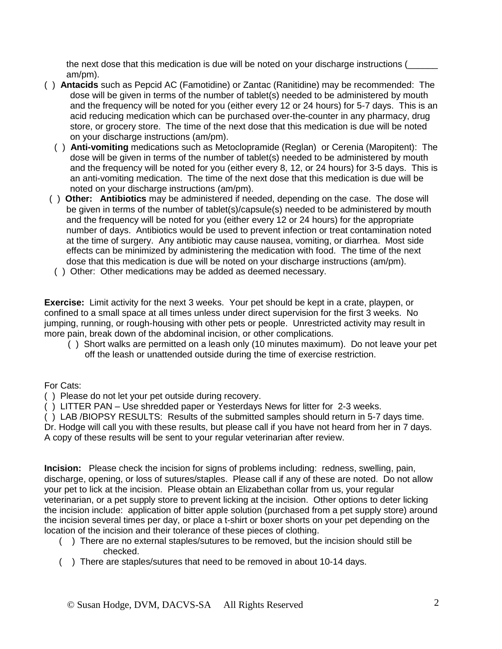the next dose that this medication is due will be noted on your discharge instructions ( am/pm).

- ( ) **Antacids** such as Pepcid AC (Famotidine) or Zantac (Ranitidine) may be recommended:The dose will be given in terms of the number of tablet(s) needed to be administered by mouth and the frequency will be noted for you (either every 12 or 24 hours) for 5-7 days. This is an acid reducing medication which can be purchased over-the-counter in any pharmacy, drug store, or grocery store. The time of the next dose that this medication is due will be noted on your discharge instructions (am/pm).
	- ( ) **Anti-vomiting** medications such as Metoclopramide (Reglan) or Cerenia (Maropitent): The dose will be given in terms of the number of tablet(s) needed to be administered by mouth and the frequency will be noted for you (either every 8, 12, or 24 hours) for 3-5 days. This is an anti-vomiting medication. The time of the next dose that this medication is due will be noted on your discharge instructions (am/pm).
- ( ) **Other: Antibiotics** may be administered if needed, depending on the case. The dose will be given in terms of the number of tablet(s)/capsule(s) needed to be administered by mouth and the frequency will be noted for you (either every 12 or 24 hours) for the appropriate number of days. Antibiotics would be used to prevent infection or treat contamination noted at the time of surgery. Any antibiotic may cause nausea, vomiting, or diarrhea. Most side effects can be minimized by administering the medication with food. The time of the next dose that this medication is due will be noted on your discharge instructions (am/pm).
- ( ) Other: Other medications may be added as deemed necessary.

**Exercise:** Limit activity for the next 3 weeks. Your pet should be kept in a crate, playpen, or confined to a small space at all times unless under direct supervision for the first 3 weeks. No jumping, running, or rough-housing with other pets or people. Unrestricted activity may result in more pain, break down of the abdominal incision, or other complications.

 ( ) Short walks are permitted on a leash only (10 minutes maximum). Do not leave your pet off the leash or unattended outside during the time of exercise restriction.

For Cats:

- ( ) Please do not let your pet outside during recovery.
- ( ) LITTER PAN Use shredded paper or Yesterdays News for litter for 2-3 weeks.
- ( ) LAB /BIOPSY RESULTS: Results of the submitted samples should return in 5-7 days time.

Dr. Hodge will call you with these results, but please call if you have not heard from her in 7 days.

A copy of these results will be sent to your regular veterinarian after review.

**Incision:** Please check the incision for signs of problems including: redness, swelling, pain, discharge, opening, or loss of sutures/staples. Please call if any of these are noted. Do not allow your pet to lick at the incision. Please obtain an Elizabethan collar from us, your regular veterinarian, or a pet supply store to prevent licking at the incision. Other options to deter licking the incision include: application of bitter apple solution (purchased from a pet supply store) around the incision several times per day, or place a t-shirt or boxer shorts on your pet depending on the location of the incision and their tolerance of these pieces of clothing.

- ( ) There are no external staples/sutures to be removed, but the incision should still be checked.
- ( ) There are staples/sutures that need to be removed in about 10-14 days.